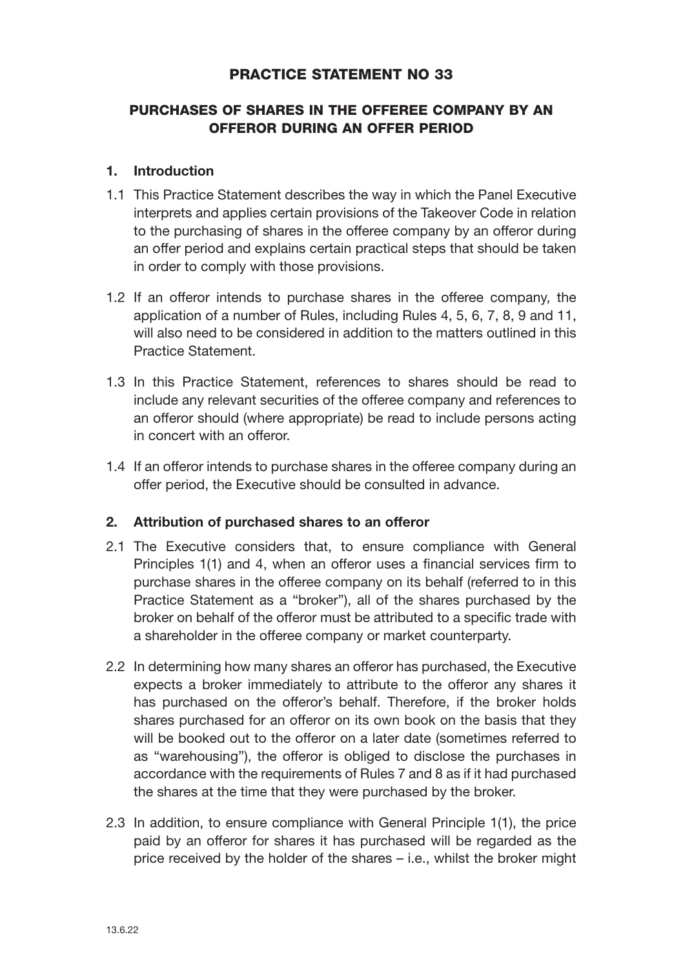# PRACTICE STATEMENT NO 33

# PURCHASES OF SHARES IN THE OFFEREE COMPANY BY AN OFFEROR DURING AN OFFER PERIOD

## 1. Introduction

- 1.1 This Practice Statement describes the way in which the Panel Executive interprets and applies certain provisions of the Takeover Code in relation to the purchasing of shares in the offeree company by an offeror during an offer period and explains certain practical steps that should be taken in order to comply with those provisions.
- 1.2 If an offeror intends to purchase shares in the offeree company, the application of a number of Rules, including Rules 4, 5, 6, 7, 8, 9 and 11, will also need to be considered in addition to the matters outlined in this Practice Statement.
- 1.3 In this Practice Statement, references to shares should be read to include any relevant securities of the offeree company and references to an offeror should (where appropriate) be read to include persons acting in concert with an offeror.
- 1.4 If an offeror intends to purchase shares in the offeree company during an offer period, the Executive should be consulted in advance.

### 2. Attribution of purchased shares to an offeror

- 2.1 The Executive considers that, to ensure compliance with General Principles 1(1) and 4, when an offeror uses a financial services firm to purchase shares in the offeree company on its behalf (referred to in this Practice Statement as a "broker"), all of the shares purchased by the broker on behalf of the offeror must be attributed to a specific trade with a shareholder in the offeree company or market counterparty.
- 2.2 In determining how many shares an offeror has purchased, the Executive expects a broker immediately to attribute to the offeror any shares it has purchased on the offeror's behalf. Therefore, if the broker holds shares purchased for an offeror on its own book on the basis that they will be booked out to the offeror on a later date (sometimes referred to as "warehousing"), the offeror is obliged to disclose the purchases in accordance with the requirements of Rules 7 and 8 as if it had purchased the shares at the time that they were purchased by the broker.
- 2.3 In addition, to ensure compliance with General Principle 1(1), the price paid by an offeror for shares it has purchased will be regarded as the price received by the holder of the shares – i.e., whilst the broker might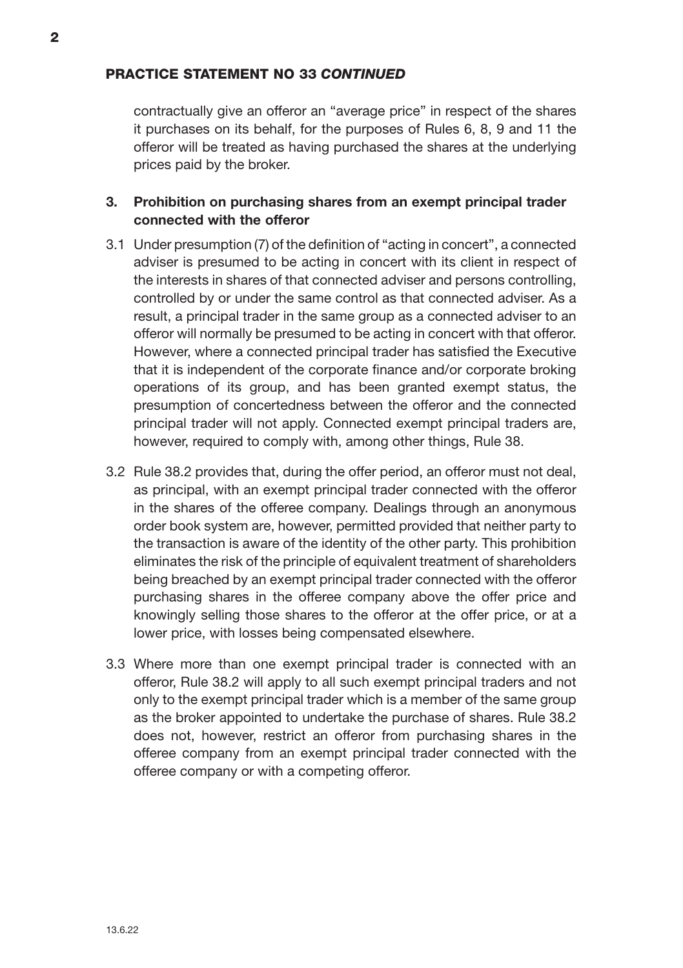contractually give an offeror an "average price" in respect of the shares it purchases on its behalf, for the purposes of Rules 6, 8, 9 and 11 the offeror will be treated as having purchased the shares at the underlying prices paid by the broker.

## 3. Prohibition on purchasing shares from an exempt principal trader connected with the offeror

- 3.1 Under presumption (7) of the definition of "acting in concert", a connected adviser is presumed to be acting in concert with its client in respect of the interests in shares of that connected adviser and persons controlling, controlled by or under the same control as that connected adviser. As a result, a principal trader in the same group as a connected adviser to an offeror will normally be presumed to be acting in concert with that offeror. However, where a connected principal trader has satisfied the Executive that it is independent of the corporate finance and/or corporate broking operations of its group, and has been granted exempt status, the presumption of concertedness between the offeror and the connected principal trader will not apply. Connected exempt principal traders are, however, required to comply with, among other things, Rule 38.
- 3.2 Rule 38.2 provides that, during the offer period, an offeror must not deal, as principal, with an exempt principal trader connected with the offeror in the shares of the offeree company. Dealings through an anonymous order book system are, however, permitted provided that neither party to the transaction is aware of the identity of the other party. This prohibition eliminates the risk of the principle of equivalent treatment of shareholders being breached by an exempt principal trader connected with the offeror purchasing shares in the offeree company above the offer price and knowingly selling those shares to the offeror at the offer price, or at a lower price, with losses being compensated elsewhere.
- 3.3 Where more than one exempt principal trader is connected with an offeror, Rule 38.2 will apply to all such exempt principal traders and not only to the exempt principal trader which is a member of the same group as the broker appointed to undertake the purchase of shares. Rule 38.2 does not, however, restrict an offeror from purchasing shares in the offeree company from an exempt principal trader connected with the offeree company or with a competing offeror.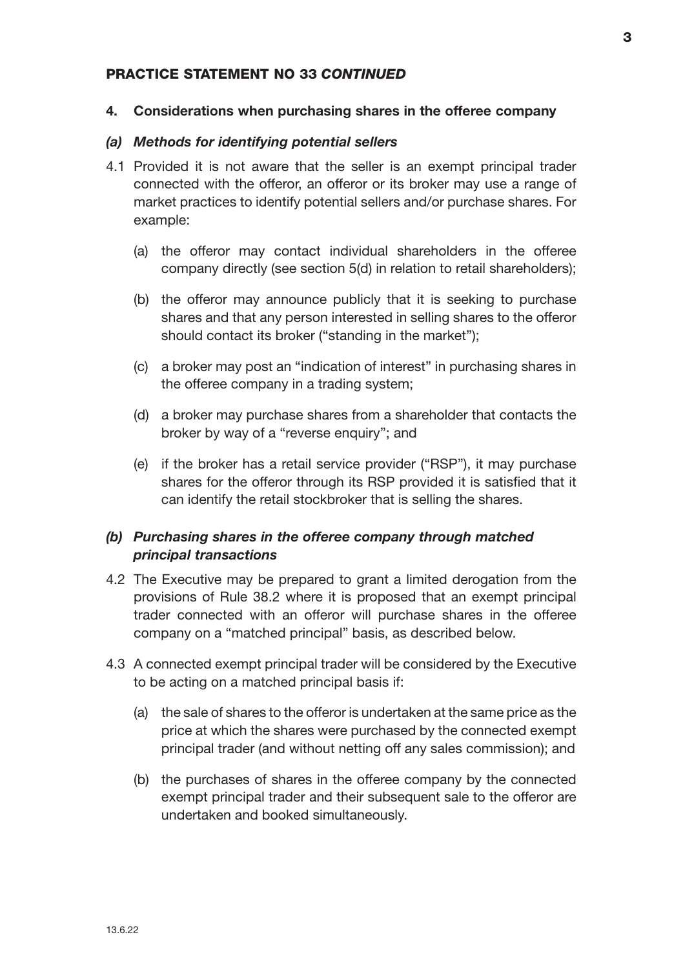#### 4. Considerations when purchasing shares in the offeree company

#### *(a) Methods for identifying potential sellers*

- 4.1 Provided it is not aware that the seller is an exempt principal trader connected with the offeror, an offeror or its broker may use a range of market practices to identify potential sellers and/or purchase shares. For example:
	- (a) the offeror may contact individual shareholders in the offeree company directly (see section 5(d) in relation to retail shareholders);
	- (b) the offeror may announce publicly that it is seeking to purchase shares and that any person interested in selling shares to the offeror should contact its broker ("standing in the market");
	- (c) a broker may post an "indication of interest" in purchasing shares in the offeree company in a trading system;
	- (d) a broker may purchase shares from a shareholder that contacts the broker by way of a "reverse enquiry"; and
	- (e) if the broker has a retail service provider ("RSP"), it may purchase shares for the offeror through its RSP provided it is satisfied that it can identify the retail stockbroker that is selling the shares.

## *(b) Purchasing shares in the offeree company through matched principal transactions*

- 4.2 The Executive may be prepared to grant a limited derogation from the provisions of Rule 38.2 where it is proposed that an exempt principal trader connected with an offeror will purchase shares in the offeree company on a "matched principal" basis, as described below.
- 4.3 A connected exempt principal trader will be considered by the Executive to be acting on a matched principal basis if:
	- (a) the sale of shares to the offeror is undertaken at the same price as the price at which the shares were purchased by the connected exempt principal trader (and without netting off any sales commission); and
	- (b) the purchases of shares in the offeree company by the connected exempt principal trader and their subsequent sale to the offeror are undertaken and booked simultaneously.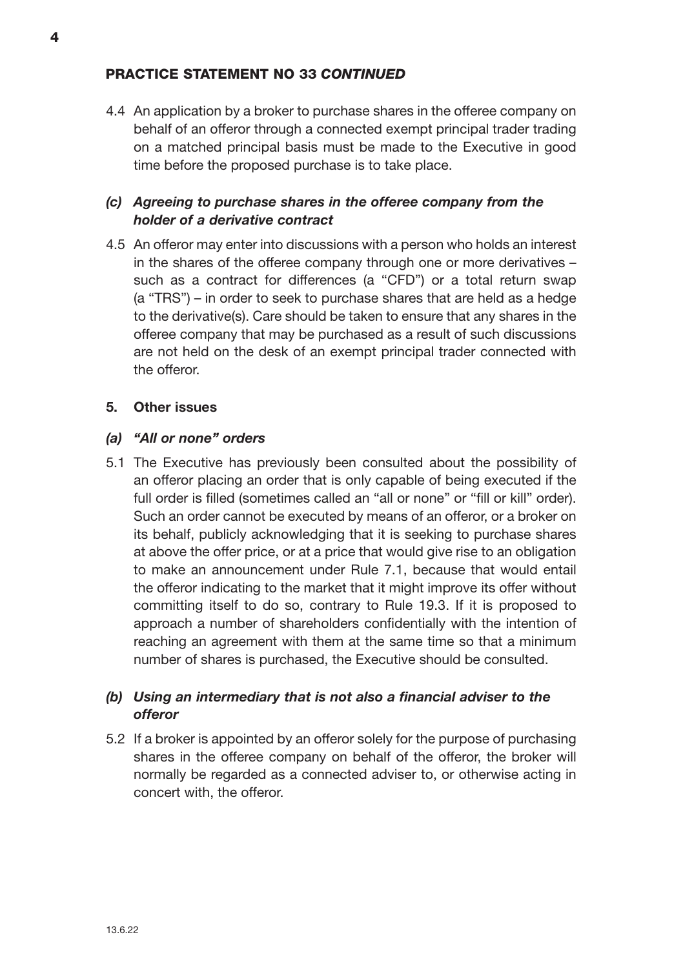4.4 An application by a broker to purchase shares in the offeree company on behalf of an offeror through a connected exempt principal trader trading on a matched principal basis must be made to the Executive in good time before the proposed purchase is to take place.

# *(c) Agreeing to purchase shares in the offeree company from the holder of a derivative contract*

4.5 An offeror may enter into discussions with a person who holds an interest in the shares of the offeree company through one or more derivatives – such as a contract for differences (a "CFD") or a total return swap (a "TRS") – in order to seek to purchase shares that are held as a hedge to the derivative(s). Care should be taken to ensure that any shares in the offeree company that may be purchased as a result of such discussions are not held on the desk of an exempt principal trader connected with the offeror.

## 5. Other issues

## *(a) "All or none" orders*

5.1 The Executive has previously been consulted about the possibility of an offeror placing an order that is only capable of being executed if the full order is filled (sometimes called an "all or none" or "fill or kill" order). Such an order cannot be executed by means of an offeror, or a broker on its behalf, publicly acknowledging that it is seeking to purchase shares at above the offer price, or at a price that would give rise to an obligation to make an announcement under Rule 7.1, because that would entail the offeror indicating to the market that it might improve its offer without committing itself to do so, contrary to Rule 19.3. If it is proposed to approach a number of shareholders confidentially with the intention of reaching an agreement with them at the same time so that a minimum number of shares is purchased, the Executive should be consulted.

# *(b) Using an intermediary that is not also a financial adviser to the offeror*

5.2 If a broker is appointed by an offeror solely for the purpose of purchasing shares in the offeree company on behalf of the offeror, the broker will normally be regarded as a connected adviser to, or otherwise acting in concert with, the offeror.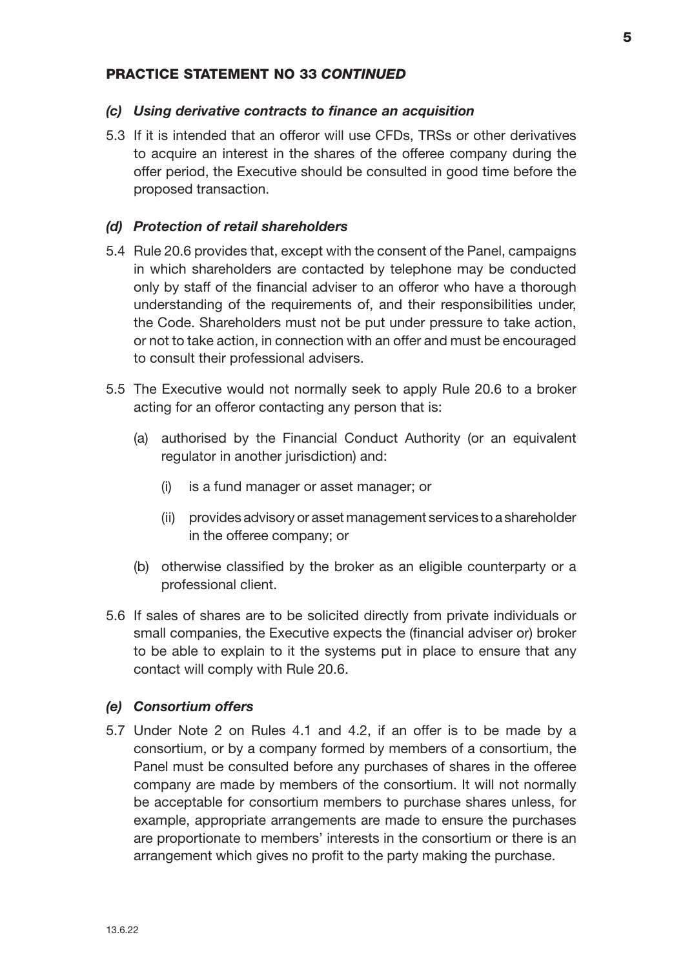#### *(c) Using derivative contracts to finance an acquisition*

5.3 If it is intended that an offeror will use CFDs, TRSs or other derivatives to acquire an interest in the shares of the offeree company during the offer period, the Executive should be consulted in good time before the proposed transaction.

#### *(d) Protection of retail shareholders*

- 5.4 Rule 20.6 provides that, except with the consent of the Panel, campaigns in which shareholders are contacted by telephone may be conducted only by staff of the financial adviser to an offeror who have a thorough understanding of the requirements of, and their responsibilities under, the Code. Shareholders must not be put under pressure to take action, or not to take action, in connection with an offer and must be encouraged to consult their professional advisers.
- 5.5 The Executive would not normally seek to apply Rule 20.6 to a broker acting for an offeror contacting any person that is:
	- (a) authorised by the Financial Conduct Authority (or an equivalent regulator in another jurisdiction) and:
		- (i) is a fund manager or asset manager; or
		- (ii) provides advisory or asset management services to a shareholder in the offeree company; or
	- (b) otherwise classified by the broker as an eligible counterparty or a professional client.
- 5.6 If sales of shares are to be solicited directly from private individuals or small companies, the Executive expects the (financial adviser or) broker to be able to explain to it the systems put in place to ensure that any contact will comply with Rule 20.6.

#### *(e) Consortium offers*

5.7 Under Note 2 on Rules 4.1 and 4.2, if an offer is to be made by a consortium, or by a company formed by members of a consortium, the Panel must be consulted before any purchases of shares in the offeree company are made by members of the consortium. It will not normally be acceptable for consortium members to purchase shares unless, for example, appropriate arrangements are made to ensure the purchases are proportionate to members' interests in the consortium or there is an arrangement which gives no profit to the party making the purchase.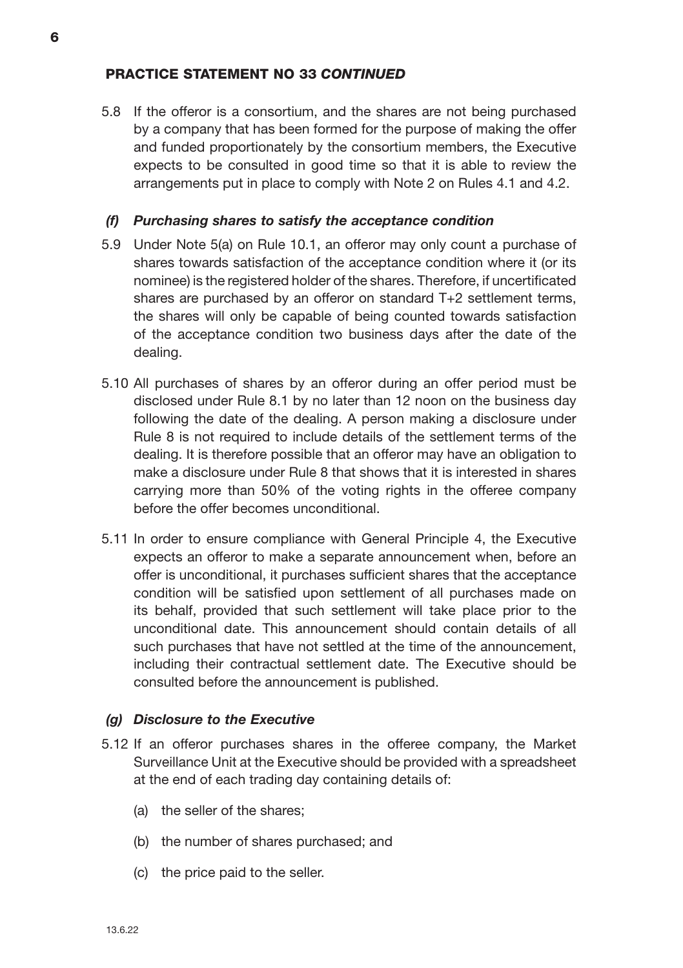5.8 If the offeror is a consortium, and the shares are not being purchased by a company that has been formed for the purpose of making the offer and funded proportionately by the consortium members, the Executive expects to be consulted in good time so that it is able to review the arrangements put in place to comply with Note 2 on Rules 4.1 and 4.2.

#### *(f) Purchasing shares to satisfy the acceptance condition*

- 5.9 Under Note 5(a) on Rule 10.1, an offeror may only count a purchase of shares towards satisfaction of the acceptance condition where it (or its nominee) is the registered holder of the shares. Therefore, if uncertificated shares are purchased by an offeror on standard T+2 settlement terms, the shares will only be capable of being counted towards satisfaction of the acceptance condition two business days after the date of the dealing.
- 5.10 All purchases of shares by an offeror during an offer period must be disclosed under Rule 8.1 by no later than 12 noon on the business day following the date of the dealing. A person making a disclosure under Rule 8 is not required to include details of the settlement terms of the dealing. It is therefore possible that an offeror may have an obligation to make a disclosure under Rule 8 that shows that it is interested in shares carrying more than 50% of the voting rights in the offeree company before the offer becomes unconditional.
- 5.11 In order to ensure compliance with General Principle 4, the Executive expects an offeror to make a separate announcement when, before an offer is unconditional, it purchases sufficient shares that the acceptance condition will be satisfied upon settlement of all purchases made on its behalf, provided that such settlement will take place prior to the unconditional date. This announcement should contain details of all such purchases that have not settled at the time of the announcement, including their contractual settlement date. The Executive should be consulted before the announcement is published.

#### *(g) Disclosure to the Executive*

- 5.12 If an offeror purchases shares in the offeree company, the Market Surveillance Unit at the Executive should be provided with a spreadsheet at the end of each trading day containing details of:
	- (a) the seller of the shares;
	- (b) the number of shares purchased; and
	- (c) the price paid to the seller.